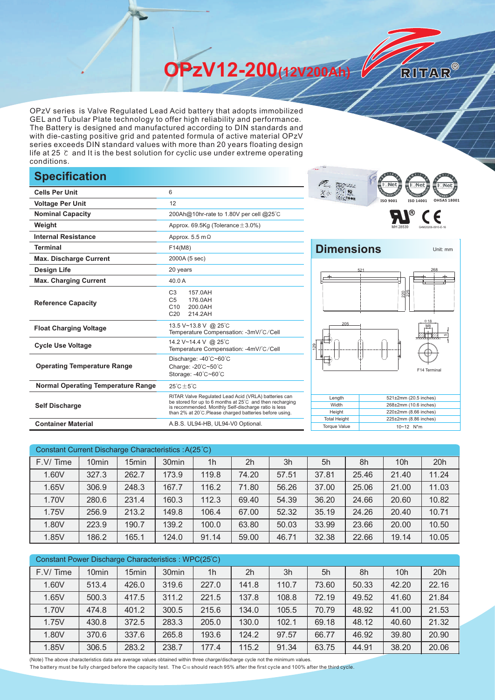**OPzV12-200(12V200Ah)** 

OPzV series is Valve Regulated Lead Acid battery that adopts immobilized GEL and Tubular Plate technology to offer high reliability and performance. The Battery is designed and manufactured according to DIN standards and with die-casting positive grid and patented formula of active material OPzV series exceeds DIN standard values with more than 20 years floating design life at 25 ℃ and It is the best solution for cyclic use under extreme operating conditions.

## **Specification**

|                                           |                                                                                                                                                                                                                                     | -9913 # 1<br>11. JUNIOR<br>LAST ALC                                           |
|-------------------------------------------|-------------------------------------------------------------------------------------------------------------------------------------------------------------------------------------------------------------------------------------|-------------------------------------------------------------------------------|
| <b>Cells Per Unit</b>                     | 6                                                                                                                                                                                                                                   | $X =$                                                                         |
| <b>Voltage Per Unit</b>                   | 12                                                                                                                                                                                                                                  | ISO 9001<br>ISO 140                                                           |
| <b>Nominal Capacity</b>                   | 200Ah@10hr-rate to 1.80V per cell @25°C                                                                                                                                                                                             | ®                                                                             |
| Weight                                    | Approx. $69.5$ Kg (Tolerance $\pm 3.0\%$ )                                                                                                                                                                                          |                                                                               |
| <b>Internal Resistance</b>                | Approx. $5.5 \text{ m}\Omega$                                                                                                                                                                                                       |                                                                               |
| <b>Terminal</b>                           | F14(M8)                                                                                                                                                                                                                             | <b>Dimensions</b>                                                             |
| <b>Max. Discharge Current</b>             | 2000A (5 sec)                                                                                                                                                                                                                       |                                                                               |
| <b>Design Life</b>                        | 20 years                                                                                                                                                                                                                            | 521                                                                           |
| <b>Max. Charging Current</b>              | 40.0 A                                                                                                                                                                                                                              |                                                                               |
| <b>Reference Capacity</b>                 | C <sub>3</sub><br>157.0AH<br>C <sub>5</sub><br>176.0AH<br>C10<br>200.0AH<br>C <sub>20</sub><br>214.2AH                                                                                                                              | 220                                                                           |
| <b>Float Charging Voltage</b>             | 13.5 V~13.8 V @ 25°C<br>Temperature Compensation: -3mV/°C/Cell                                                                                                                                                                      | 205<br>£                                                                      |
| <b>Cycle Use Voltage</b>                  | 14.2 V~14.4 V @ 25°C<br>Temperature Compensation: -4mV/°C/Cell                                                                                                                                                                      | $\overline{29}$                                                               |
| <b>Operating Temperature Range</b>        | Discharge: -40°C~60°C<br>Charge: -20°C~50°C<br>Storage: -40°C~60°C                                                                                                                                                                  | ۵<br>F <sub>1</sub>                                                           |
| <b>Normal Operating Temperature Range</b> | $25^{\circ}$ C $\pm 5^{\circ}$ C                                                                                                                                                                                                    |                                                                               |
| <b>Self Discharge</b>                     | RITAR Valve Regulated Lead Acid (VRLA) batteries can<br>be stored for up to 6 months at 25°C and then recharging<br>is recommended. Monthly Self-discharge ratio is less<br>than 2% at 20°C. Please charged batteries before using. | Length<br>521±2mm (20.5)<br>Width<br>268±2mm (10.6<br>Height<br>220±2mm (8.66 |
| <b>Container Material</b>                 | A.B.S. UL94-HB, UL94-V0 Optional.                                                                                                                                                                                                   | <b>Total Height</b><br>225±2mm (8.86<br><b>Torque Value</b><br>10~12 N*m      |





RITAR®

225±2mm (8.86 inches)



| Constant Current Discharge Characteristics : A(25°C) |                   |       |                   |                |                |       |       |       |                 |       |
|------------------------------------------------------|-------------------|-------|-------------------|----------------|----------------|-------|-------|-------|-----------------|-------|
| F.V/Time                                             | 10 <sub>min</sub> | 15min | 30 <sub>min</sub> | 1 <sub>h</sub> | 2 <sub>h</sub> | 3h    | 5h    | 8h    | 10 <sub>h</sub> | 20h   |
| 1.60V                                                | 327.3             | 262.7 | 173.9             | 119.8          | 74.20          | 57.51 | 37.81 | 25.46 | 21.40           | 11.24 |
| 1.65V                                                | 306.9             | 248.3 | 167.7             | 116.2          | 71.80          | 56.26 | 37.00 | 25.06 | 21.00           | 11.03 |
| 1.70V                                                | 280.6             | 231.4 | 160.3             | 112.3          | 69.40          | 54.39 | 36.20 | 24.66 | 20.60           | 10.82 |
| 1.75V                                                | 256.9             | 213.2 | 149.8             | 106.4          | 67.00          | 52.32 | 35.19 | 24.26 | 20.40           | 10.71 |
| 1.80V                                                | 223.9             | 190.7 | 139.2             | 100.0          | 63.80          | 50.03 | 33.99 | 23.66 | 20.00           | 10.50 |
| 1.85V                                                | 186.2             | 165.1 | 124.0             | 91.14          | 59.00          | 46.71 | 32.38 | 22.66 | 19.14           | 10.05 |

| Constant Power Discharge Characteristics: WPC(25°C) |                   |                   |                   |                |                |       |       |       |                 |       |
|-----------------------------------------------------|-------------------|-------------------|-------------------|----------------|----------------|-------|-------|-------|-----------------|-------|
| F.V/Time                                            | 10 <sub>min</sub> | 15 <sub>min</sub> | 30 <sub>min</sub> | 1 <sub>h</sub> | 2 <sub>h</sub> | 3h    | 5h    | 8h    | 10 <sub>h</sub> | 20h   |
| 1.60V                                               | 513.4             | 426.0             | 319.6             | 227.0          | 141.8          | 110.7 | 73.60 | 50.33 | 42.20           | 22.16 |
| 1.65V                                               | 500.3             | 417.5             | 311.2             | 221.5          | 137.8          | 108.8 | 72.19 | 49.52 | 41.60           | 21.84 |
| 1.70V                                               | 474.8             | 401.2             | 300.5             | 215.6          | 134.0          | 105.5 | 70.79 | 48.92 | 41.00           | 21.53 |
| 1.75V                                               | 430.8             | 372.5             | 283.3             | 205.0          | 130.0          | 102.1 | 69.18 | 48.12 | 40.60           | 21.32 |
| 1.80V                                               | 370.6             | 337.6             | 265.8             | 193.6          | 124.2          | 97.57 | 66.77 | 46.92 | 39.80           | 20.90 |
| 1.85V                                               | 306.5             | 283.2             | 238.7             | 177.4          | 115.2          | 91.34 | 63.75 | 44.91 | 38.20           | 20.06 |

(Note) The above characteristics data are average values obtained within three charge/discharge cycle not the minimum values.

The battery must be fully charged before the capacity test. The C10 should reach 95% after the first cycle and 100% after the third cycle.